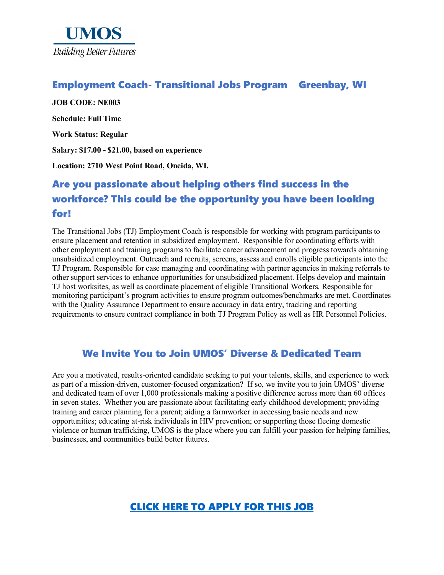

### Employment Coach- Transitional Jobs Program Greenbay, WI

**JOB CODE: NE003 Schedule: Full Time Work Status: Regular Salary: \$17.00 - \$21.00, based on experience Location: 2710 West Point Road, Oneida, WI.**

# Are you passionate about helping others find success in the workforce? This could be the opportunity you have been looking for!

The Transitional Jobs (TJ) Employment Coach is responsible for working with program participants to ensure placement and retention in subsidized employment. Responsible for coordinating efforts with other employment and training programs to facilitate career advancement and progress towards obtaining unsubsidized employment. Outreach and recruits, screens, assess and enrolls eligible participants into the TJ Program. Responsible for case managing and coordinating with partner agencies in making referrals to other support services to enhance opportunities for unsubsidized placement. Helps develop and maintain TJ host worksites, as well as coordinate placement of eligible Transitional Workers. Responsible for monitoring participant's program activities to ensure program outcomes/benchmarks are met. Coordinates with the Quality Assurance Department to ensure accuracy in data entry, tracking and reporting requirements to ensure contract compliance in both TJ Program Policy as well as HR Personnel Policies.

### We Invite You to Join UMOS' Diverse & Dedicated Team

Are you a motivated, results-oriented candidate seeking to put your talents, skills, and experience to work as part of a mission-driven, customer-focused organization? If so, we invite you to join UMOS' diverse and dedicated team of over 1,000 professionals making a positive difference across more than 60 offices in seven states. Whether you are passionate about facilitating early childhood development; providing training and career planning for a parent; aiding a farmworker in accessing basic needs and new opportunities; educating at-risk individuals in HIV prevention; or supporting those fleeing domestic violence or human trafficking, UMOS is the place where you can fulfill your passion for helping families, businesses, and communities build better futures.

## [CLICK HERE TO APPLY FOR THIS JOB](https://www.umos.org/job-application/)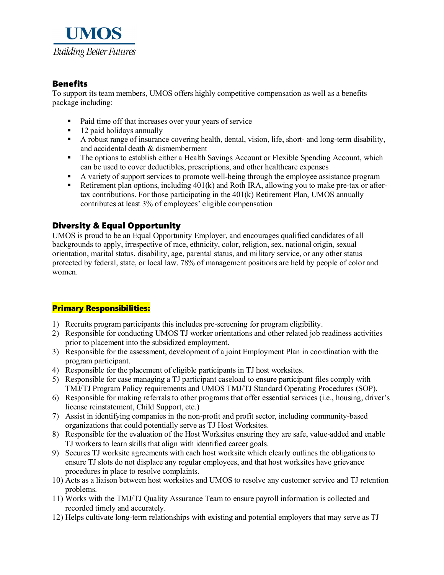

#### Benefits

To support its team members, UMOS offers highly competitive compensation as well as a benefits package including:

- Paid time off that increases over your years of service
- 12 paid holidays annually<br>• A robust range of insurance
- A robust range of insurance covering health, dental, vision, life, short- and long-term disability, and accidental death & dismemberment
- The options to establish either a Health Savings Account or Flexible Spending Account, which can be used to cover deductibles, prescriptions, and other healthcare expenses
- A variety of support services to promote well-being through the employee assistance program
- Retirement plan options, including  $401(k)$  and Roth IRA, allowing you to make pre-tax or aftertax contributions. For those participating in the 401(k) Retirement Plan, UMOS annually contributes at least 3% of employees' eligible compensation

#### Diversity & Equal Opportunity

UMOS is proud to be an Equal Opportunity Employer, and encourages qualified candidates of all backgrounds to apply, irrespective of race, ethnicity, color, religion, sex, national origin, sexual orientation, marital status, disability, age, parental status, and military service, or any other status protected by federal, state, or local law. 78% of management positions are held by people of color and women.

#### Primary Responsibilities:

- 1) Recruits program participants this includes pre-screening for program eligibility.
- 2) Responsible for conducting UMOS TJ worker orientations and other related job readiness activities prior to placement into the subsidized employment.
- 3) Responsible for the assessment, development of a joint Employment Plan in coordination with the program participant.
- 4) Responsible for the placement of eligible participants in TJ host worksites.
- 5) Responsible for case managing a TJ participant caseload to ensure participant files comply with TMJ/TJ Program Policy requirements and UMOS TMJ/TJ Standard Operating Procedures (SOP).
- 6) Responsible for making referrals to other programs that offer essential services (i.e., housing, driver's license reinstatement, Child Support, etc.)
- 7) Assist in identifying companies in the non-profit and profit sector, including community-based organizations that could potentially serve as TJ Host Worksites.
- 8) Responsible for the evaluation of the Host Worksites ensuring they are safe, value-added and enable TJ workers to learn skills that align with identified career goals.
- 9) Secures TJ worksite agreements with each host worksite which clearly outlines the obligations to ensure TJ slots do not displace any regular employees, and that host worksites have grievance procedures in place to resolve complaints.
- 10) Acts as a liaison between host worksites and UMOS to resolve any customer service and TJ retention problems.
- 11) Works with the TMJ/TJ Quality Assurance Team to ensure payroll information is collected and recorded timely and accurately.
- 12) Helps cultivate long-term relationships with existing and potential employers that may serve as TJ